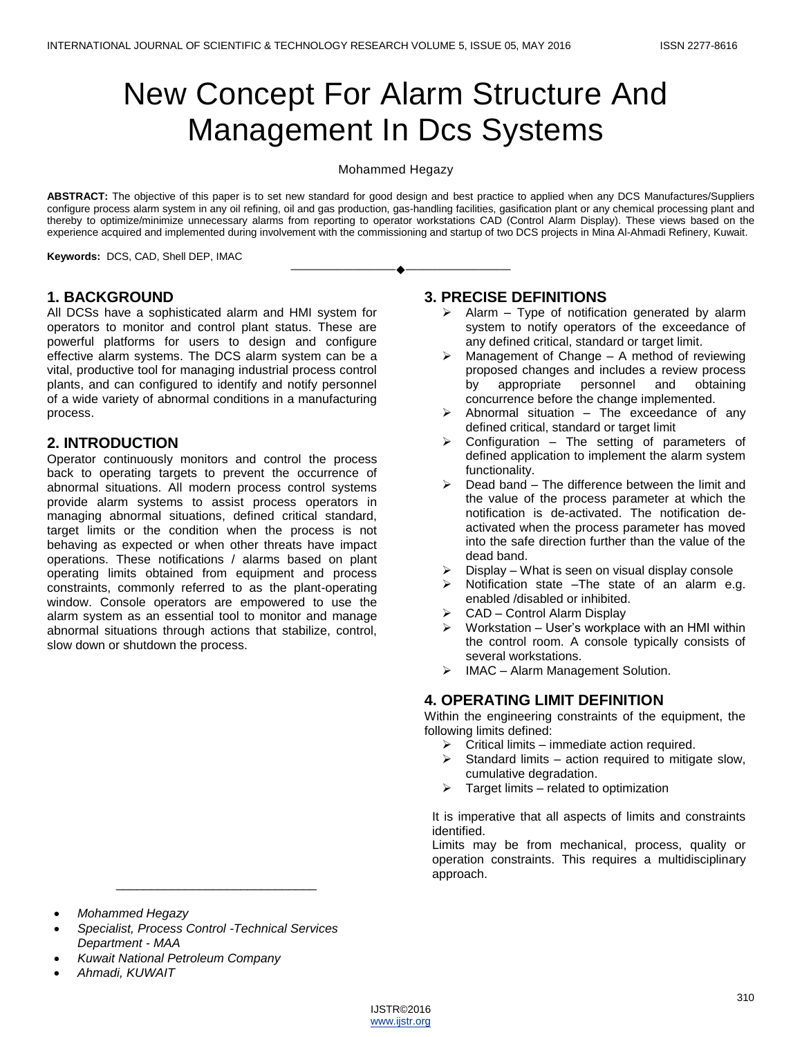# New Concept For Alarm Structure And Management In Dcs Systems

#### Mohammed Hegazy

**ABSTRACT:** The objective of this paper is to set new standard for good design and best practice to applied when any DCS Manufactures/Suppliers configure process alarm system in any oil refining, oil and gas production, gas-handling facilities, gasification plant or any chemical processing plant and thereby to optimize/minimize unnecessary alarms from reporting to operator workstations CAD (Control Alarm Display). These views based on the experience acquired and implemented during involvement with the commissioning and startup of two DCS projects in Mina Al-Ahmadi Refinery, Kuwait.

————————————————————

**Keywords:** DCS, CAD, Shell DEP, IMAC

#### **1. BACKGROUND**

All DCSs have a sophisticated alarm and HMI system for operators to monitor and control plant status. These are powerful platforms for users to design and configure effective alarm systems. The DCS alarm system can be a vital, productive tool for managing industrial process control plants, and can configured to identify and notify personnel of a wide variety of abnormal conditions in a manufacturing process.

#### **2. INTRODUCTION**

Operator continuously monitors and control the process back to operating targets to prevent the occurrence of abnormal situations. All modern process control systems provide alarm systems to assist process operators in managing abnormal situations, defined critical standard, target limits or the condition when the process is not behaving as expected or when other threats have impact operations. These notifications / alarms based on plant operating limits obtained from equipment and process constraints, commonly referred to as the plant-operating window. Console operators are empowered to use the alarm system as an essential tool to monitor and manage abnormal situations through actions that stabilize, control, slow down or shutdown the process.

#### **3. PRECISE DEFINITIONS**

- $\triangleright$  Alarm Type of notification generated by alarm system to notify operators of the exceedance of any defined critical, standard or target limit.
- $\triangleright$  Management of Change A method of reviewing proposed changes and includes a review process by appropriate personnel and obtaining concurrence before the change implemented.
- $\triangleright$  Abnormal situation The exceedance of any defined critical, standard or target limit
- $\triangleright$  Configuration The setting of parameters of defined application to implement the alarm system functionality.
- $\triangleright$  Dead band The difference between the limit and the value of the process parameter at which the notification is de-activated. The notification deactivated when the process parameter has moved into the safe direction further than the value of the dead band.
- Display What is seen on visual display console
- $\triangleright$  Notification state –The state of an alarm e.g. enabled /disabled or inhibited.
- CAD Control Alarm Display
- Workstation User's workplace with an HMI within the control room. A console typically consists of several workstations.
- $\triangleright$  IMAC Alarm Management Solution.

#### **4. OPERATING LIMIT DEFINITION**

Within the engineering constraints of the equipment, the following limits defined:

- $\triangleright$  Critical limits immediate action required.
- $\triangleright$  Standard limits action required to mitigate slow, cumulative degradation.
- $\triangleright$  Target limits related to optimization

It is imperative that all aspects of limits and constraints identified.

Limits may be from mechanical, process, quality or operation constraints. This requires a multidisciplinary approach.

 *Specialist, Process Control -Technical Services Department - MAA*

\_\_\_\_\_\_\_\_\_\_\_\_\_\_\_\_\_\_\_\_\_\_\_\_\_\_\_\_\_

- *Kuwait National Petroleum Company*
- *Ahmadi, KUWAIT*



*Mohammed Hegazy*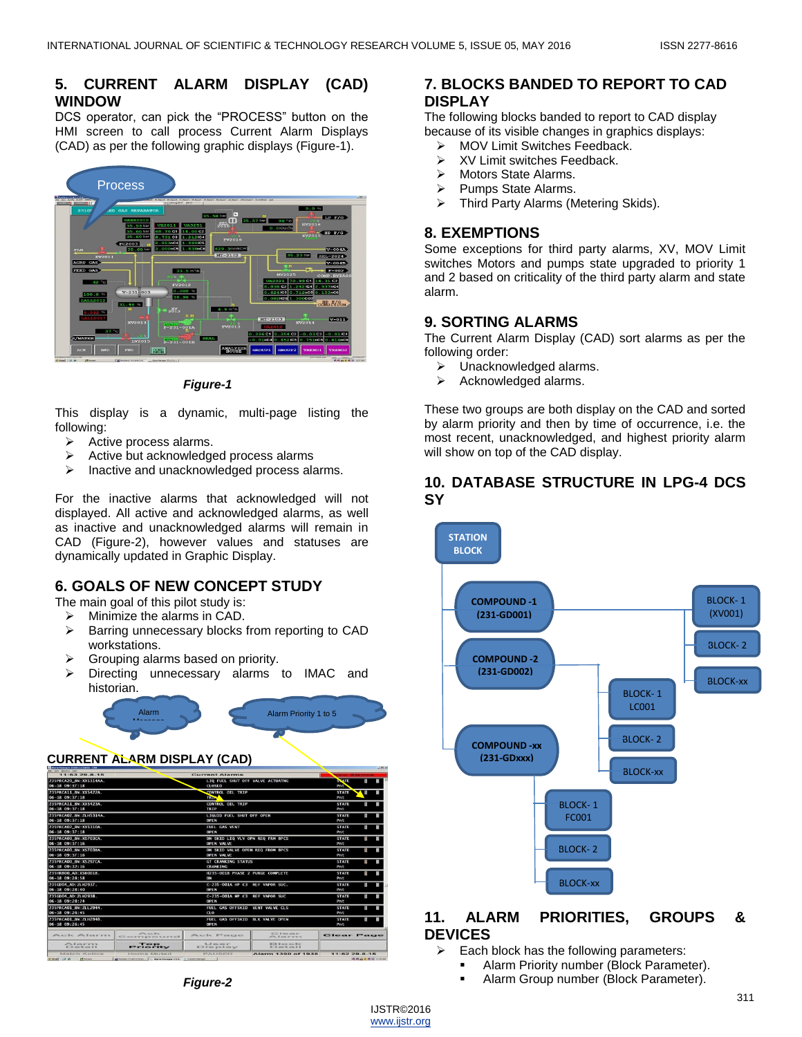## **5. CURRENT ALARM DISPLAY (CAD) WINDOW**

DCS operator, can pick the "PROCESS" button on the HMI screen to call process Current Alarm Displays (CAD) as per the following graphic displays (Figure-1).



*Figure-1*

This display is a dynamic, multi-page listing the following:

- $\triangleright$  Active process alarms.
- $\triangleright$  Active but acknowledged process alarms
- $\triangleright$  Inactive and unacknowledged process alarms.

For the inactive alarms that acknowledged will not displayed. All active and acknowledged alarms, as well as inactive and unacknowledged alarms will remain in CAD (Figure-2), however values and statuses are dynamically updated in Graphic Display.

## **6. GOALS OF NEW CONCEPT STUDY**

The main goal of this pilot study is:

- $\triangleright$  Minimize the alarms in CAD.
- Barring unnecessary blocks from reporting to CAD workstations.
- Grouping alarms based on priority.
- Directing unnecessary alarms to IMAC and historian.

Alarm Priority 1 to 5

#### **CURRENT ALARM DISPLAY (CAD)**

Alarm Message

| <b>MAIN Photoger EXIASED (AD)</b><br>EN   Dre Dricher 1941 |                              |                                               |                                              |                    |                      | $n(A)$ $M$ |
|------------------------------------------------------------|------------------------------|-----------------------------------------------|----------------------------------------------|--------------------|----------------------|------------|
| $11:6329-0-15$                                             |                              | <b>Current Alarms</b>                         |                                              |                    |                      |            |
| 235PRCA20 BN:XX5314AA.                                     |                              | LTO FUEL SHUT OFF VALVE ACTUATNG              |                                              | <b>STATE</b>       | я                    |            |
| 06-18 09:37:18                                             |                              | CLOSED                                        |                                              | Pnt.               |                      |            |
| 235PRCA11 BN: XX5422A.                                     |                              | <b>CONTROL OIL TRIP</b>                       |                                              | <b>STATE</b>       | ×                    |            |
| $06 - 18$ $09:37:18$                                       |                              | <b>TR28</b>                                   |                                              | Pnt                |                      |            |
| 235PRCA11 BN:XX5423A.                                      |                              | <b>CONTROL OIL TRIP</b>                       |                                              | <b>STATE</b>       |                      |            |
| $06 - 18$ $09:37:18$                                       |                              | TRIP                                          |                                              | Pnt                |                      |            |
| 235PRCA02 BN: ZLH5314A.                                    |                              | <b>LIQUID FUEL SHUT OFF OPEN</b>              |                                              | <b>STATE</b>       | 闘                    |            |
| $06 - 18$ $09:37:18$                                       |                              | OPEN                                          |                                              | Pnt                |                      |            |
| 235PRCA02 BN:XX5310A.                                      |                              | <b>FUEL GAS VENT</b>                          |                                              | <b>STATE</b>       | 閖                    |            |
| $06 - 18$ $09:37:18$                                       |                              | <b>OPEN</b>                                   |                                              | Pnt                |                      |            |
| 235PRCA00 BN: X5703CA.                                     |                              | ON SKID LIO VLV OPN REO FRM BPCS              |                                              | <b>STATE</b>       | 们                    |            |
| $06 - 18$ $09:37:16$                                       |                              | OPEN VALVE                                    |                                              | Pnt                |                      |            |
| <b>235PRCA00 BN:XSZ03BA)</b>                               |                              | ON SKID VALVE OPEN REO FROM BPCS              |                                              | <b>STATE</b>       | 目                    |            |
| $06 - 18$ $09:37:16$                                       |                              | <b>OPEN VALVE</b>                             |                                              | Pnt                |                      |            |
| 235PRCA00 BN:XS297CA.                                      |                              | <b>GT CRANKING STATUS</b>                     |                                              | <b>STATE</b>       | 粮                    |            |
| $06 - 18$ $09:32:16$                                       |                              | CRANKING                                      |                                              | Pnt                |                      |            |
| 235HRB00 AD: XS6001B                                       |                              | H235-001B PHASE 2 PURGE COMPLETE              |                                              | <b>STATE</b>       | 鳳                    |            |
| 06-18 09:28:58                                             |                              | ON                                            |                                              | Pnt                |                      |            |
| 235GD04 AD: ZLH2937.                                       |                              | C-235-001A HP C3 REF VAPOR SUC.               |                                              | <b>STATE</b>       | я                    |            |
| 06-18 09:28:40                                             |                              | OPEN                                          |                                              | Pnt                |                      |            |
| 235GD04 AD: ZLH2938.                                       |                              | C-235-001A MP C3 REF VAPOR SUC                |                                              | <b>STATE</b>       | 閼                    |            |
| 06-18 09:28:24                                             |                              | <b>OPEN</b>                                   |                                              | Pnt                |                      |            |
| 235PRCA01 BN: ZLL 2944.                                    |                              | FUEL GAS OFFSKID VENT VALVE CLS               |                                              | <b>STATE</b>       | S                    |            |
| 06-18 09:26:45                                             |                              | C10                                           |                                              | Pnt                |                      |            |
| 235PRCA01 BN: ZLH2948.<br>06-18 09:26:45                   |                              | FUEL GAS OFFSKID BLK VALVE OPEN               |                                              | <b>STATE</b>       | 闘                    |            |
|                                                            |                              | <b>OPEN</b>                                   |                                              | Pnt                |                      |            |
| Acade Adamstra                                             | P <sub>1</sub> < 1           | Alle and the 1979 are signed                  | CD Les es en                                 | <b>Cleant Page</b> |                      |            |
|                                                            | CE CHEVRED CHART CE          |                                               | Alley, If you are at the top                 |                    |                      |            |
| <b>CALIFORNIA</b><br><b>BOOK with Musician A. B.</b>       | <b>TOD</b><br><b>FRIDERY</b> | N. J. min was an<br><b>KEN HOW HER RIGHTS</b> | $19.5$ $19.4$ $19.5$<br><b>KID on Kan KA</b> |                    |                      |            |
|                                                            |                              |                                               |                                              |                    |                      |            |
| Match Active<br>12 Evinst                                  | Horna Muted                  | PAUSED                                        | Alarm 1390 of 1938                           | $11:6229-8-16$     |                      |            |
| (87-44xed) [C2] 20                                         |                              |                                               |                                              |                    | ● 图 前 表 图 日 1112.401 |            |

#### **7. BLOCKS BANDED TO REPORT TO CAD DISPLAY**

The following blocks banded to report to CAD display because of its visible changes in graphics displays:

- > MOV Limit Switches Feedback.
- $\triangleright$  XV Limit switches Feedback. Motors State Alarms.
- 
- Pumps State Alarms.<br>  $\sum$  Third Party Alarms (N Third Party Alarms (Metering Skids).

#### **8. EXEMPTIONS**

Some exceptions for third party alarms, XV, MOV Limit switches Motors and pumps state upgraded to priority 1 and 2 based on criticality of the third party alarm and state alarm.

#### **9. SORTING ALARMS**

The Current Alarm Display (CAD) sort alarms as per the following order:

- > Unacknowledged alarms.
- $\triangleright$  Acknowledged alarms.

These two groups are both display on the CAD and sorted by alarm priority and then by time of occurrence, i.e. the most recent, unacknowledged, and highest priority alarm will show on top of the CAD display.

#### **10. DATABASE STRUCTURE IN LPG-4 DCS SY**



#### **11. ALARM PRIORITIES, GROUPS & DEVICES**

 $\triangleright$  Each block has the following parameters:

- Alarm Priority number (Block Parameter).
	- Alarm Group number (Block Parameter).

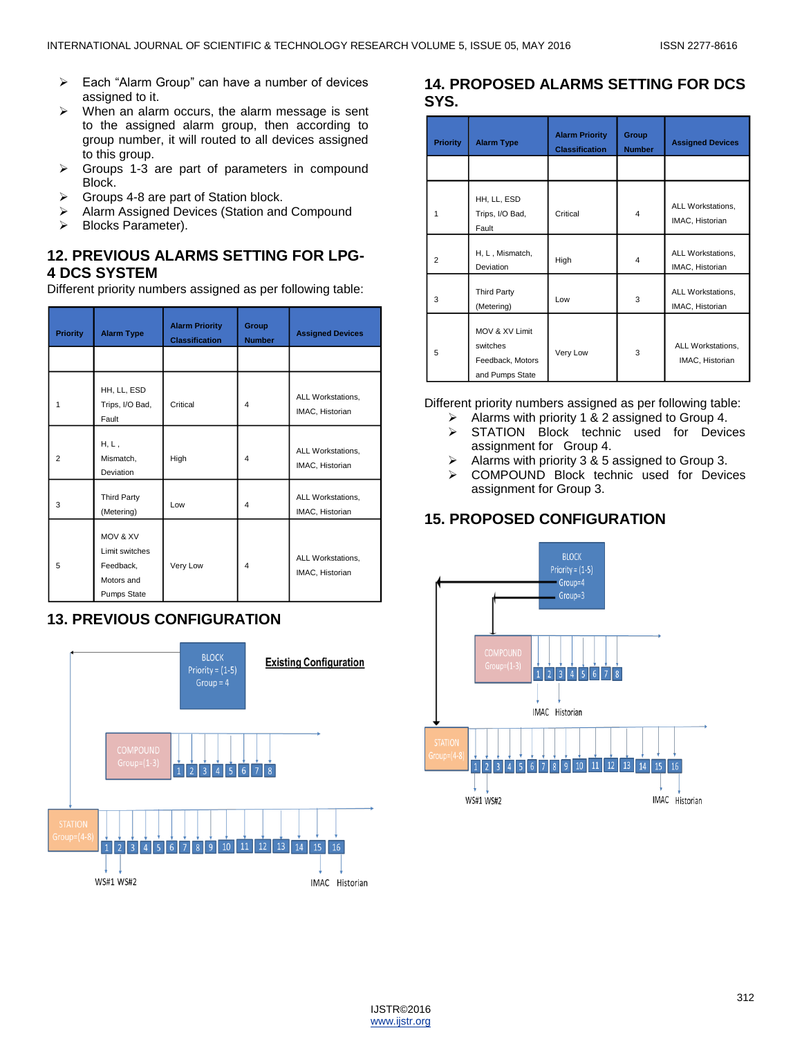- $\triangleright$  Each "Alarm Group" can have a number of devices assigned to it.
- $\triangleright$  When an alarm occurs, the alarm message is sent to the assigned alarm group, then according to group number, it will routed to all devices assigned to this group.
- $\triangleright$  Groups 1-3 are part of parameters in compound Block.
- $\triangleright$  Groups 4-8 are part of Station block.
- > Alarm Assigned Devices (Station and Compound
- > Blocks Parameter).

### **12. PREVIOUS ALARMS SETTING FOR LPG-4 DCS SYSTEM**

Different priority numbers assigned as per following table:

| <b>Priority</b> | <b>Alarm Type</b>                                                    | <b>Alarm Priority</b><br><b>Classification</b> | Group<br><b>Number</b> | <b>Assigned Devices</b>              |
|-----------------|----------------------------------------------------------------------|------------------------------------------------|------------------------|--------------------------------------|
|                 |                                                                      |                                                |                        |                                      |
| 1               | HH, LL, ESD<br>Trips, I/O Bad,<br>Fault                              | Critical                                       | $\overline{4}$         | ALL Workstations,<br>IMAC, Historian |
| $\overline{2}$  | $H, L$ ,<br>Mismatch,<br>Deviation                                   | High                                           | $\overline{4}$         | ALL Workstations,<br>IMAC, Historian |
| 3               | <b>Third Party</b><br>(Metering)                                     | Low                                            | 4                      | ALL Workstations,<br>IMAC, Historian |
| 5               | MOV & XV<br>Limit switches<br>Feedback,<br>Motors and<br>Pumps State | Very Low                                       | $\overline{4}$         | ALL Workstations,<br>IMAC, Historian |

## **13. PREVIOUS CONFIGURATION**



## **14. PROPOSED ALARMS SETTING FOR DCS SYS.**

| <b>Priority</b> | <b>Alarm Type</b>                                                 | <b>Alarm Priority</b><br><b>Classification</b> | Group<br><b>Number</b>  | <b>Assigned Devices</b>              |
|-----------------|-------------------------------------------------------------------|------------------------------------------------|-------------------------|--------------------------------------|
|                 |                                                                   |                                                |                         |                                      |
| 1               | HH, LL, ESD<br>Trips, I/O Bad,<br>Fault                           | Critical                                       | $\overline{\mathbf{4}}$ | ALL Workstations,<br>IMAC, Historian |
| 2               | H, L, Mismatch,<br>Deviation                                      | High                                           | 4                       | ALL Workstations,<br>IMAC, Historian |
| 3               | <b>Third Party</b><br>(Metering)                                  | Low                                            | 3                       | ALL Workstations,<br>IMAC, Historian |
| 5               | MOV & XV Limit<br>switches<br>Feedback, Motors<br>and Pumps State | Very Low                                       | 3                       | ALL Workstations,<br>IMAC, Historian |

Different priority numbers assigned as per following table:

- $\triangleright$  Alarms with priority 1 & 2 assigned to Group 4.
- $\triangleright$  STATION Block technic used for Devices assignment for Group 4.
- $\triangleright$  Alarms with priority 3 & 5 assigned to Group 3.
- COMPOUND Block technic used for Devices assignment for Group 3.

## **15. PROPOSED CONFIGURATION**